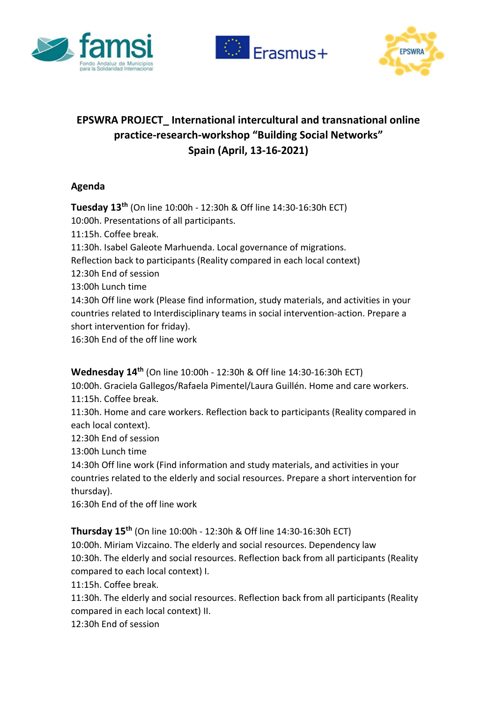





## EPSWRA PROJECT\_ International intercultural and transnational online practice-research-workshop "Building Social Networks" Spain (April, 13-16-2021)

## Agenda

Tuesday 13th (On line 10:00h - 12:30h & Off line 14:30-16:30h ECT) 10:00h. Presentations of all participants. 11:15h. Coffee break. 11:30h. Isabel Galeote Marhuenda. Local governance of migrations. Reflection back to participants (Reality compared in each local context) 12:30h End of session 13:00h Lunch time 14:30h Off line work (Please find information, study materials, and activities in your countries related to Interdisciplinary teams in social intervention-action. Prepare a short intervention for friday). 16:30h End of the off line work

Wednesday 14th (On line 10:00h - 12:30h & Off line 14:30-16:30h ECT)

10:00h. Graciela Gallegos/Rafaela Pimentel/Laura Guillén. Home and care workers. 11:15h. Coffee break.

11:30h. Home and care workers. Reflection back to participants (Reality compared in each local context).

12:30h End of session

13:00h Lunch time

14:30h Off line work (Find information and study materials, and activities in your countries related to the elderly and social resources. Prepare a short intervention for thursday).

16:30h End of the off line work

Thursday 15th (On line 10:00h - 12:30h & Off line 14:30-16:30h ECT)

10:00h. Miriam Vizcaino. The elderly and social resources. Dependency law 10:30h. The elderly and social resources. Reflection back from all participants (Reality compared to each local context) I.

11:15h. Coffee break.

11:30h. The elderly and social resources. Reflection back from all participants (Reality compared in each local context) II.

12:30h End of session